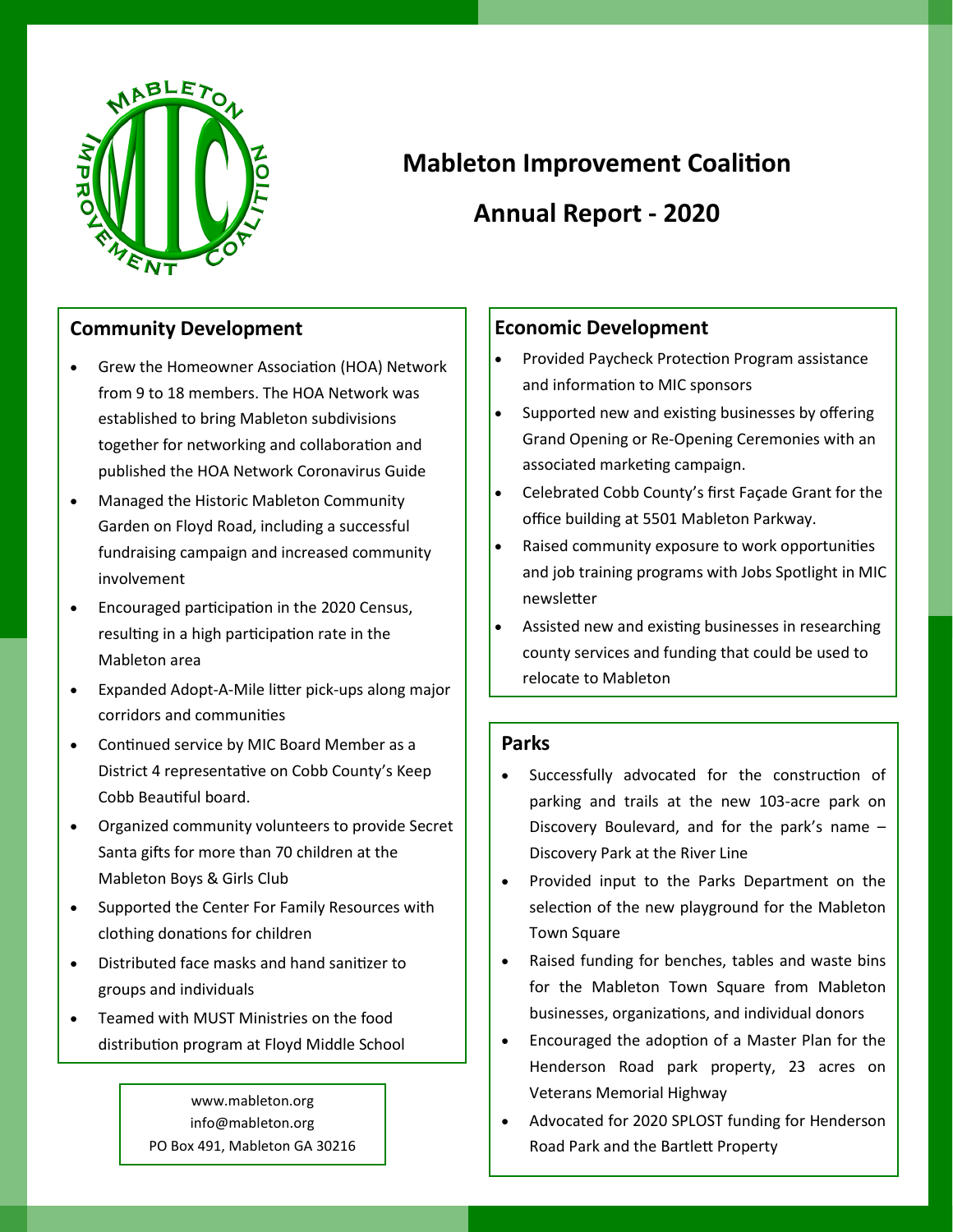

# **Mableton Improvement Coalition**

# **Annual Report - 2020**

#### **Community Development**

- Grew the Homeowner Association (HOA) Network from 9 to 18 members. The HOA Network was established to bring Mableton subdivisions together for networking and collaboration and published the HOA Network Coronavirus Guide
- Managed the Historic Mableton Community Garden on Floyd Road, including a successful fundraising campaign and increased community involvement
- Encouraged participation in the 2020 Census, resulting in a high participation rate in the Mableton area
- Expanded Adopt-A-Mile litter pick-ups along major corridors and communities
- Continued service by MIC Board Member as a District 4 representative on Cobb County's Keep Cobb Beautiful board.
- Organized community volunteers to provide Secret Santa gifts for more than 70 children at the Mableton Boys & Girls Club
- Supported the Center For Family Resources with clothing donations for children
- Distributed face masks and hand sanitizer to groups and individuals
- Teamed with MUST Ministries on the food distribution program at Floyd Middle School

# **Economic Development**

- Provided Paycheck Protection Program assistance and information to MIC sponsors
- Supported new and existing businesses by offering Grand Opening or Re-Opening Ceremonies with an associated marketing campaign.
- Celebrated Cobb County's first Façade Grant for the office building at 5501 Mableton Parkway.
- Raised community exposure to work opportunities and job training programs with Jobs Spotlight in MIC newsletter
- Assisted new and existing businesses in researching county services and funding that could be used to relocate to Mableton

#### **Parks**

- Successfully advocated for the construction of parking and trails at the new 103-acre park on Discovery Boulevard, and for the park's name – Discovery Park at the River Line
- Provided input to the Parks Department on the selection of the new playground for the Mableton Town Square
- Raised funding for benches, tables and waste bins for the Mableton Town Square from Mableton businesses, organizations, and individual donors
- Encouraged the adoption of a Master Plan for the Henderson Road park property, 23 acres on Veterans Memorial Highway
- Advocated for 2020 SPLOST funding for Henderson Road Park and the Bartlett Property

www.mableton.org info@mableton.org PO Box 491, Mableton GA 30216